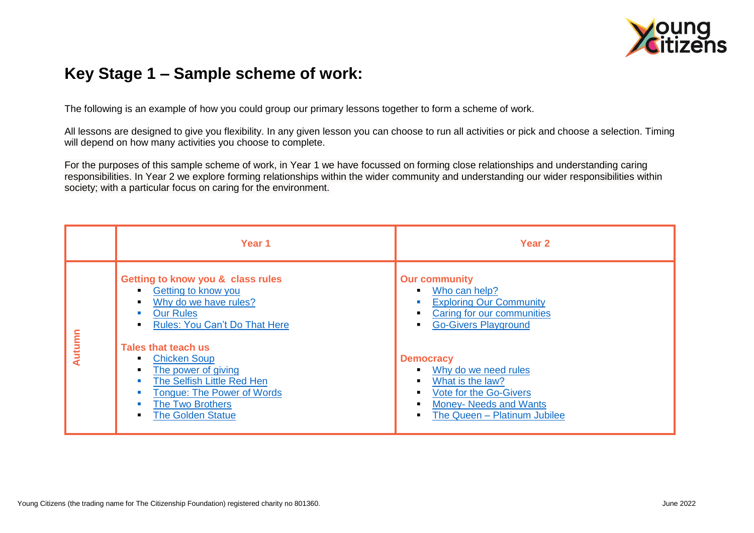

## **Key Stage 1 – Sample scheme of work:**

The following is an example of how you could group our primary lessons together to form a scheme of work.

All lessons are designed to give you flexibility. In any given lesson you can choose to run all activities or pick and choose a selection. Timing will depend on how many activities you choose to complete.

For the purposes of this sample scheme of work, in Year 1 we have focussed on forming close relationships and understanding caring responsibilities. In Year 2 we explore forming relationships within the wider community and understanding our wider responsibilities within society; with a particular focus on caring for the environment.

|        | Year 1                                                                                                                                                                                    | Year <sub>2</sub>                                                                                                                                                         |
|--------|-------------------------------------------------------------------------------------------------------------------------------------------------------------------------------------------|---------------------------------------------------------------------------------------------------------------------------------------------------------------------------|
| Autumn | Getting to know you & class rules<br>Getting to know you<br>٠<br>Why do we have rules?<br><b>Our Rules</b><br><b>Rules: You Can't Do That Here</b>                                        | <b>Our community</b><br>Who can help?<br>$\blacksquare$<br><b>Exploring Our Community</b><br>Caring for our communities<br><b>Go-Givers Playground</b>                    |
|        | Tales that teach us<br><b>Chicken Soup</b><br>٠<br>The power of giving<br>The Selfish Little Red Hen<br><b>Tongue: The Power of Words</b><br>The Two Brothers<br><b>The Golden Statue</b> | <b>Democracy</b><br>Why do we need rules<br>What is the law?<br>$\blacksquare$<br>Vote for the Go-Givers<br><b>Money- Needs and Wants</b><br>The Queen - Platinum Jubilee |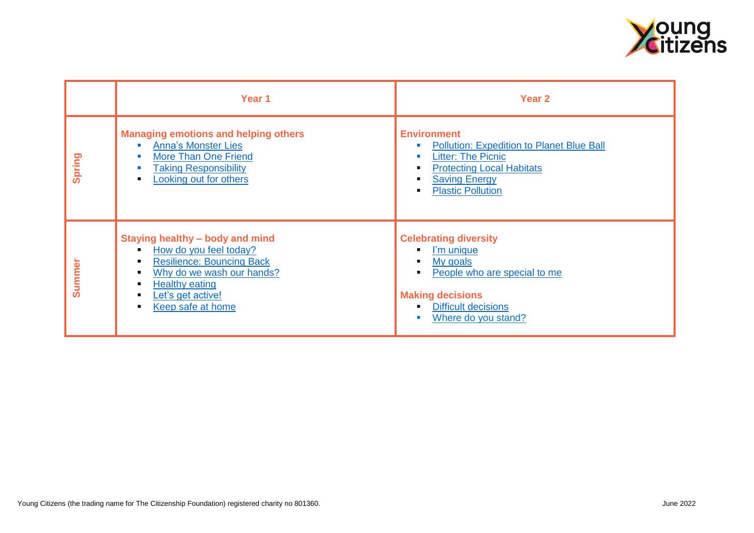

|               | Year 1                                                                                                                                                                                                                                                                                       | Year 2                                                                                                                                                                                                                                                                    |
|---------------|----------------------------------------------------------------------------------------------------------------------------------------------------------------------------------------------------------------------------------------------------------------------------------------------|---------------------------------------------------------------------------------------------------------------------------------------------------------------------------------------------------------------------------------------------------------------------------|
| Spring        | <b>Managing emotions and helping others</b><br><b>Anna's Monster Lies</b><br><b>CONTRACTOR</b><br><b>More Than One Friend</b><br>$\overline{\phantom{a}}$<br><b>Taking Responsibility</b><br><b>I</b><br>Looking out for others<br>$\blacksquare$                                            | <b>Environment</b><br><b>Pollution: Expedition to Planet Blue Ball</b><br><b>I</b><br><b>Litter: The Picnic</b><br><b>I</b><br><b>Protecting Local Habitats</b><br>$\blacksquare$<br><b>Saving Energy</b><br>$\blacksquare$<br><b>Plastic Pollution</b><br>$\blacksquare$ |
| <b>Summer</b> | Staying healthy - body and mind<br>How do you feel today?<br>$\blacksquare$<br><b>Resilience: Bouncing Back</b><br>$\blacksquare$<br>Why do we wash our hands?<br>$\blacksquare$<br><b>Healthy eating</b><br>٠<br>Let's get active!<br>$\blacksquare$<br>Keep safe at home<br>$\blacksquare$ | <b>Celebrating diversity</b><br>I'm unique<br>My goals<br>$\blacksquare$<br>People who are special to me<br>$\blacksquare$<br><b>Making decisions</b><br><b>Difficult decisions</b><br>$\blacksquare$<br>Where do you stand?<br>$\blacksquare$                            |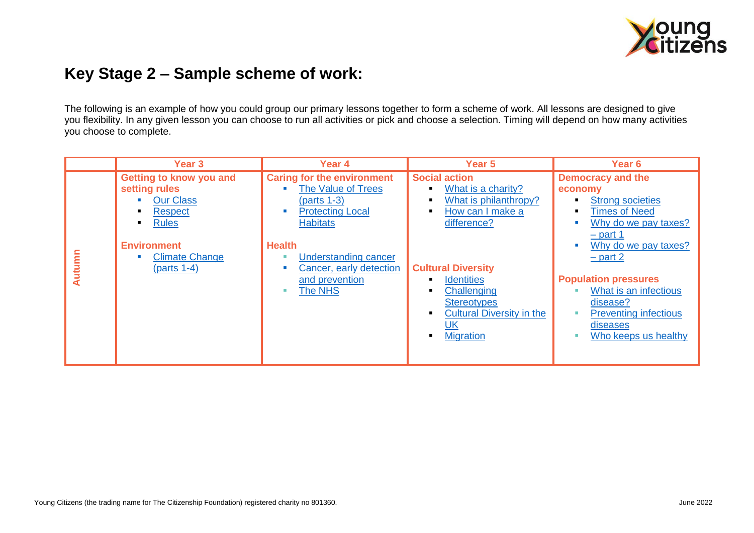

## **Key Stage 2 – Sample scheme of work:**

The following is an example of how you could group our primary lessons together to form a scheme of work. All lessons are designed to give you flexibility. In any given lesson you can choose to run all activities or pick and choose a selection. Timing will depend on how many activities you choose to complete.

|        | <b>Year 3</b>                                                                                                                                                  | Year 4                                                                                                                                                                                                                                | Year 5                                                                                                                                                                                                                                                      | Year <sub>6</sub>                                                                                                                                                                                                                                                                                          |
|--------|----------------------------------------------------------------------------------------------------------------------------------------------------------------|---------------------------------------------------------------------------------------------------------------------------------------------------------------------------------------------------------------------------------------|-------------------------------------------------------------------------------------------------------------------------------------------------------------------------------------------------------------------------------------------------------------|------------------------------------------------------------------------------------------------------------------------------------------------------------------------------------------------------------------------------------------------------------------------------------------------------------|
| Autumn | Getting to know you and<br>setting rules<br><b>Our Class</b><br><b>Respect</b><br><b>Rules</b><br><b>Environment</b><br><b>Climate Change</b><br>$(parts 1-4)$ | <b>Caring for the environment</b><br><b>The Value of Trees</b><br>$(parts 1-3)$<br><b>Protecting Local</b><br><b>Habitats</b><br><b>Health</b><br><b>Understanding cancer</b><br>Cancer, early detection<br>and prevention<br>The NHS | <b>Social action</b><br>What is a charity?<br>What is philanthropy?<br>How can I make a<br>difference?<br><b>Cultural Diversity</b><br><b>Identities</b><br>Challenging<br><b>Stereotypes</b><br><b>Cultural Diversity in the</b><br>UK<br><b>Migration</b> | <b>Democracy and the</b><br>economy<br><b>Strong societies</b><br><b>Times of Need</b><br>Why do we pay taxes?<br>$-$ part 1<br>Why do we pay taxes?<br>$-$ part 2<br><b>Population pressures</b><br>What is an infectious<br>disease?<br><b>Preventing infectious</b><br>diseases<br>Who keeps us healthy |